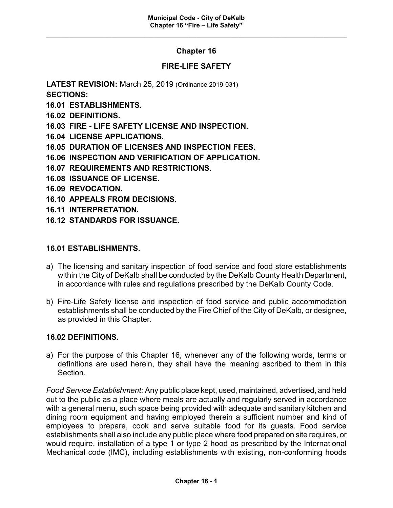## **Chapter 16**

## **FIRE-LIFE SAFETY**

**LATEST REVISION:** March 25, 2019 (Ordinance 2019-031) **SECTIONS:**

- **16.01 ESTABLISHMENTS.**
- **16.02 DEFINITIONS.**
- **16.03 FIRE - LIFE SAFETY LICENSE AND INSPECTION.**
- **16.04 LICENSE APPLICATIONS.**
- **16.05 DURATION OF LICENSES AND INSPECTION FEES.**
- **16.06 INSPECTION AND VERIFICATION OF APPLICATION.**
- **16.07 REQUIREMENTS AND RESTRICTIONS.**
- **16.08 ISSUANCE OF LICENSE.**
- **16.09 REVOCATION.**
- **16.10 APPEALS FROM DECISIONS.**
- **16.11 INTERPRETATION.**
- **16.12 STANDARDS FOR ISSUANCE.**

#### **16.01 ESTABLISHMENTS.**

- a) The licensing and sanitary inspection of food service and food store establishments within the City of DeKalb shall be conducted by the DeKalb County Health Department, in accordance with rules and regulations prescribed by the DeKalb County Code.
- b) Fire-Life Safety license and inspection of food service and public accommodation establishments shall be conducted by the Fire Chief of the City of DeKalb, or designee, as provided in this Chapter.

#### **16.02 DEFINITIONS.**

a) For the purpose of this Chapter 16, whenever any of the following words, terms or definitions are used herein, they shall have the meaning ascribed to them in this **Section** 

*Food Service Establishment:* Any public place kept, used, maintained, advertised, and held out to the public as a place where meals are actually and regularly served in accordance with a general menu, such space being provided with adequate and sanitary kitchen and dining room equipment and having employed therein a sufficient number and kind of employees to prepare, cook and serve suitable food for its guests. Food service establishments shall also include any public place where food prepared on site requires, or would require, installation of a type 1 or type 2 hood as prescribed by the International Mechanical code (IMC), including establishments with existing, non-conforming hoods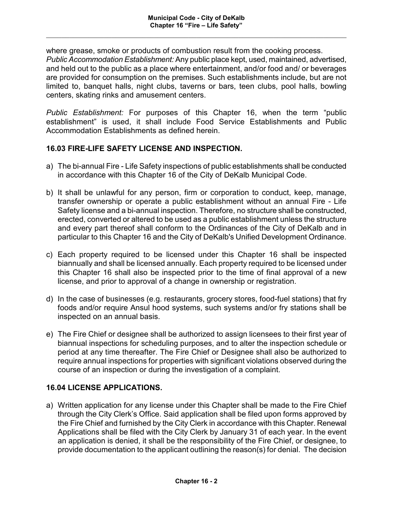where grease, smoke or products of combustion result from the cooking process. *Public Accommodation Establishment:* Any public place kept, used, maintained, advertised, and held out to the public as a place where entertainment, and/or food and/ or beverages are provided for consumption on the premises. Such establishments include, but are not limited to, banquet halls, night clubs, taverns or bars, teen clubs, pool halls, bowling centers, skating rinks and amusement centers.

*Public Establishment:* For purposes of this Chapter 16, when the term "public establishment" is used, it shall include Food Service Establishments and Public Accommodation Establishments as defined herein.

## **16.03 FIRE-LIFE SAFETY LICENSE AND INSPECTION.**

- a) The bi-annual Fire Life Safety inspections of public establishments shall be conducted in accordance with this Chapter 16 of the City of DeKalb Municipal Code.
- b) It shall be unlawful for any person, firm or corporation to conduct, keep, manage, transfer ownership or operate a public establishment without an annual Fire - Life Safety license and a bi-annual inspection. Therefore, no structure shall be constructed, erected, converted or altered to be used as a public establishment unless the structure and every part thereof shall conform to the Ordinances of the City of DeKalb and in particular to this Chapter 16 and the City of DeKalb's Unified Development Ordinance.
- c) Each property required to be licensed under this Chapter 16 shall be inspected biannually and shall be licensed annually. Each property required to be licensed under this Chapter 16 shall also be inspected prior to the time of final approval of a new license, and prior to approval of a change in ownership or registration.
- d) In the case of businesses (e.g. restaurants, grocery stores, food-fuel stations) that fry foods and/or require Ansul hood systems, such systems and/or fry stations shall be inspected on an annual basis.
- e) The Fire Chief or designee shall be authorized to assign licensees to their first year of biannual inspections for scheduling purposes, and to alter the inspection schedule or period at any time thereafter. The Fire Chief or Designee shall also be authorized to require annual inspections for properties with significant violations observed during the course of an inspection or during the investigation of a complaint.

# **16.04 LICENSE APPLICATIONS.**

a) Written application for any license under this Chapter shall be made to the Fire Chief through the City Clerk's Office. Said application shall be filed upon forms approved by the Fire Chief and furnished by the City Clerk in accordance with this Chapter. Renewal Applications shall be filed with the City Clerk by January 31 of each year. In the event an application is denied, it shall be the responsibility of the Fire Chief, or designee, to provide documentation to the applicant outlining the reason(s) for denial. The decision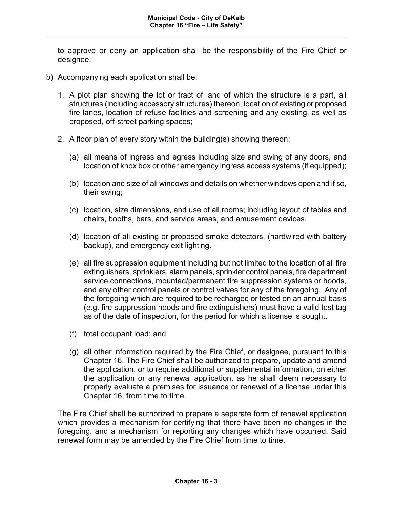to approve or deny an application shall be the responsibility of the Fire Chief or designee.

- b) Accompanying each application shall be:
	- 1. A plot plan showing the lot or tract of land of which the structure is a part, all structures (including accessory structures) thereon, location of existing or proposed fire lanes, location of refuse facilities and screening and any existing, as well as proposed, off-street parking spaces;
	- 2. A floor plan of every story within the building(s) showing thereon:
		- (a) all means of ingress and egress including size and swing of any doors, and location of knox box or other emergency ingress access systems (if equipped);
		- (b) location and size of all windows and details on whether windows open and if so, their swing;
		- (c) location, size dimensions, and use of all rooms; including layout of tables and chairs, booths, bars, and service areas, and amusement devices.
		- (d) location of all existing or proposed smoke detectors, (hardwired with battery backup), and emergency exit lighting.
		- (e) all fire suppression equipment including but not limited to the location of all fire extinguishers, sprinklers, alarm panels, sprinkler control panels, fire department service connections, mounted/permanent fire suppression systems or hoods, and any other control panels or control valves for any of the foregoing. Any of the foregoing which are required to be recharged or tested on an annual basis (e.g. fire suppression hoods and fire extinguishers) must have a valid test tag as of the date of inspection, for the period for which a license is sought.
		- (f) total occupant load; and
		- (g) all other information required by the Fire Chief, or designee, pursuant to this Chapter 16. The Fire Chief shall be authorized to prepare, update and amend the application, or to require additional or supplemental information, on either the application or any renewal application, as he shall deem necessary to properly evaluate a premises for issuance or renewal of a license under this Chapter 16, from time to time.

The Fire Chief shall be authorized to prepare a separate form of renewal application which provides a mechanism for certifying that there have been no changes in the foregoing, and a mechanism for reporting any changes which have occurred. Said renewal form may be amended by the Fire Chief from time to time.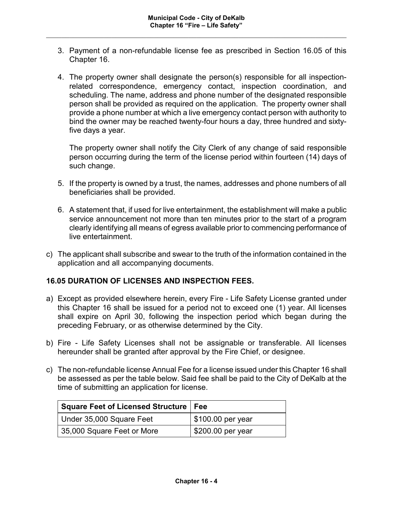- 3. Payment of a non-refundable license fee as prescribed in Section 16.05 of this Chapter 16.
- 4. The property owner shall designate the person(s) responsible for all inspectionrelated correspondence, emergency contact, inspection coordination, and scheduling. The name, address and phone number of the designated responsible person shall be provided as required on the application. The property owner shall provide a phone number at which a live emergency contact person with authority to bind the owner may be reached twenty-four hours a day, three hundred and sixtyfive days a year.

The property owner shall notify the City Clerk of any change of said responsible person occurring during the term of the license period within fourteen (14) days of such change.

- 5. If the property is owned by a trust, the names, addresses and phone numbers of all beneficiaries shall be provided.
- 6. A statement that, if used for live entertainment, the establishment will make a public service announcement not more than ten minutes prior to the start of a program clearly identifying all means of egress available prior to commencing performance of live entertainment.
- c) The applicant shall subscribe and swear to the truth of the information contained in the application and all accompanying documents.

#### **16.05 DURATION OF LICENSES AND INSPECTION FEES.**

- a) Except as provided elsewhere herein, every Fire Life Safety License granted under this Chapter 16 shall be issued for a period not to exceed one (1) year. All licenses shall expire on April 30, following the inspection period which began during the preceding February, or as otherwise determined by the City.
- b) Fire Life Safety Licenses shall not be assignable or transferable. All licenses hereunder shall be granted after approval by the Fire Chief, or designee.
- c) The non-refundable license Annual Fee for a license issued under this Chapter 16 shall be assessed as per the table below. Said fee shall be paid to the City of DeKalb at the time of submitting an application for license.

| Square Feet of Licensed Structure   Fee |                                 |
|-----------------------------------------|---------------------------------|
| Under 35,000 Square Feet                | \$100.00 per year               |
| 35,000 Square Feet or More              | $\frac{1}{2}$ \$200.00 per year |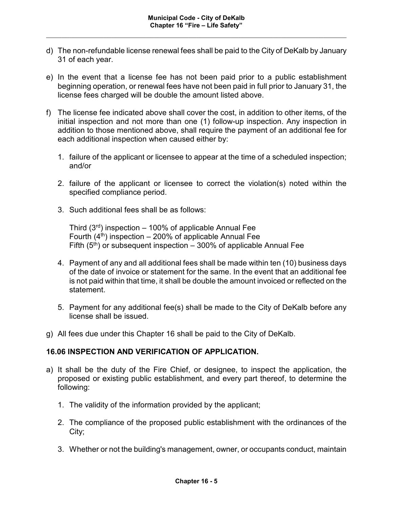- d) The non-refundable license renewal fees shall be paid to the City of DeKalb by January 31 of each year.
- e) In the event that a license fee has not been paid prior to a public establishment beginning operation, or renewal fees have not been paid in full prior to January 31, the license fees charged will be double the amount listed above.
- f) The license fee indicated above shall cover the cost, in addition to other items, of the initial inspection and not more than one (1) follow-up inspection. Any inspection in addition to those mentioned above, shall require the payment of an additional fee for each additional inspection when caused either by:
	- 1. failure of the applicant or licensee to appear at the time of a scheduled inspection; and/or
	- 2. failure of the applicant or licensee to correct the violation(s) noted within the specified compliance period.
	- 3. Such additional fees shall be as follows:

Third  $(3<sup>rd</sup>)$  inspection – 100% of applicable Annual Fee Fourth  $(4<sup>th</sup>)$  inspection – 200% of applicable Annual Fee Fifth  $(5<sup>th</sup>)$  or subsequent inspection – 300% of applicable Annual Fee

- 4. Payment of any and all additional fees shall be made within ten (10) business days of the date of invoice or statement for the same. In the event that an additional fee is not paid within that time, it shall be double the amount invoiced or reflected on the statement.
- 5. Payment for any additional fee(s) shall be made to the City of DeKalb before any license shall be issued.
- g) All fees due under this Chapter 16 shall be paid to the City of DeKalb.

### **16.06 INSPECTION AND VERIFICATION OF APPLICATION.**

- a) It shall be the duty of the Fire Chief, or designee, to inspect the application, the proposed or existing public establishment, and every part thereof, to determine the following:
	- 1. The validity of the information provided by the applicant;
	- 2. The compliance of the proposed public establishment with the ordinances of the City;
	- 3. Whether or not the building's management, owner, or occupants conduct, maintain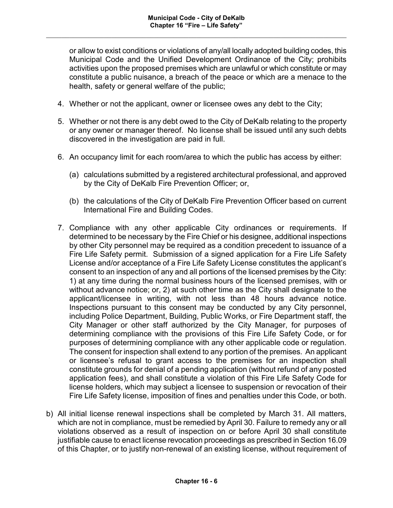or allow to exist conditions or violations of any/all locally adopted building codes, this Municipal Code and the Unified Development Ordinance of the City; prohibits activities upon the proposed premises which are unlawful or which constitute or may constitute a public nuisance, a breach of the peace or which are a menace to the health, safety or general welfare of the public;

- 4. Whether or not the applicant, owner or licensee owes any debt to the City;
- 5. Whether or not there is any debt owed to the City of DeKalb relating to the property or any owner or manager thereof. No license shall be issued until any such debts discovered in the investigation are paid in full.
- 6. An occupancy limit for each room/area to which the public has access by either:
	- (a) calculations submitted by a registered architectural professional, and approved by the City of DeKalb Fire Prevention Officer; or,
	- (b) the calculations of the City of DeKalb Fire Prevention Officer based on current International Fire and Building Codes.
- 7. Compliance with any other applicable City ordinances or requirements. If determined to be necessary by the Fire Chief or his designee, additional inspections by other City personnel may be required as a condition precedent to issuance of a Fire Life Safety permit. Submission of a signed application for a Fire Life Safety License and/or acceptance of a Fire Life Safety License constitutes the applicant's consent to an inspection of any and all portions of the licensed premises by the City: 1) at any time during the normal business hours of the licensed premises, with or without advance notice; or, 2) at such other time as the City shall designate to the applicant/licensee in writing, with not less than 48 hours advance notice. Inspections pursuant to this consent may be conducted by any City personnel, including Police Department, Building, Public Works, or Fire Department staff, the City Manager or other staff authorized by the City Manager, for purposes of determining compliance with the provisions of this Fire Life Safety Code, or for purposes of determining compliance with any other applicable code or regulation. The consent for inspection shall extend to any portion of the premises. An applicant or licensee's refusal to grant access to the premises for an inspection shall constitute grounds for denial of a pending application (without refund of any posted application fees), and shall constitute a violation of this Fire Life Safety Code for license holders, which may subject a licensee to suspension or revocation of their Fire Life Safety license, imposition of fines and penalties under this Code, or both.
- b) All initial license renewal inspections shall be completed by March 31. All matters, which are not in compliance, must be remedied by April 30. Failure to remedy any or all violations observed as a result of inspection on or before April 30 shall constitute justifiable cause to enact license revocation proceedings as prescribed in Section 16.09 of this Chapter, or to justify non-renewal of an existing license, without requirement of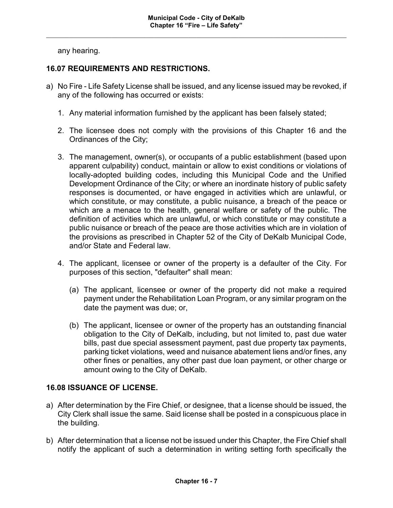any hearing.

## **16.07 REQUIREMENTS AND RESTRICTIONS.**

- a) No Fire Life Safety License shall be issued, and any license issued may be revoked, if any of the following has occurred or exists:
	- 1. Any material information furnished by the applicant has been falsely stated;
	- 2. The licensee does not comply with the provisions of this Chapter 16 and the Ordinances of the City;
	- 3. The management, owner(s), or occupants of a public establishment (based upon apparent culpability) conduct, maintain or allow to exist conditions or violations of locally-adopted building codes, including this Municipal Code and the Unified Development Ordinance of the City; or where an inordinate history of public safety responses is documented, or have engaged in activities which are unlawful, or which constitute, or may constitute, a public nuisance, a breach of the peace or which are a menace to the health, general welfare or safety of the public. The definition of activities which are unlawful, or which constitute or may constitute a public nuisance or breach of the peace are those activities which are in violation of the provisions as prescribed in Chapter 52 of the City of DeKalb Municipal Code, and/or State and Federal law.
	- 4. The applicant, licensee or owner of the property is a defaulter of the City. For purposes of this section, "defaulter" shall mean:
		- (a) The applicant, licensee or owner of the property did not make a required payment under the Rehabilitation Loan Program, or any similar program on the date the payment was due; or,
		- (b) The applicant, licensee or owner of the property has an outstanding financial obligation to the City of DeKalb, including, but not limited to, past due water bills, past due special assessment payment, past due property tax payments, parking ticket violations, weed and nuisance abatement liens and/or fines, any other fines or penalties, any other past due loan payment, or other charge or amount owing to the City of DeKalb.

### **16.08 ISSUANCE OF LICENSE.**

- a) After determination by the Fire Chief, or designee, that a license should be issued, the City Clerk shall issue the same. Said license shall be posted in a conspicuous place in the building.
- b) After determination that a license not be issued under this Chapter, the Fire Chief shall notify the applicant of such a determination in writing setting forth specifically the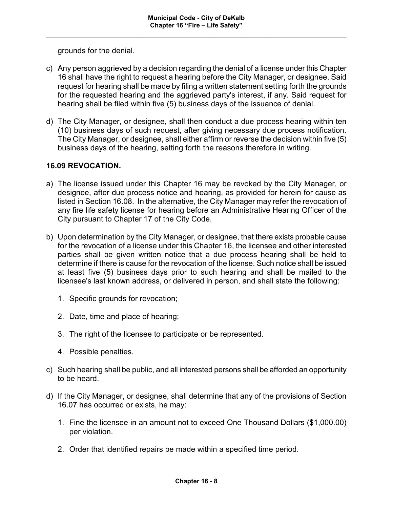grounds for the denial.

- c) Any person aggrieved by a decision regarding the denial of a license under this Chapter 16 shall have the right to request a hearing before the City Manager, or designee. Said request for hearing shall be made by filing a written statement setting forth the grounds for the requested hearing and the aggrieved party's interest, if any. Said request for hearing shall be filed within five (5) business days of the issuance of denial.
- d) The City Manager, or designee, shall then conduct a due process hearing within ten (10) business days of such request, after giving necessary due process notification. The City Manager, or designee, shall either affirm or reverse the decision within five (5) business days of the hearing, setting forth the reasons therefore in writing.

### **16.09 REVOCATION.**

- a) The license issued under this Chapter 16 may be revoked by the City Manager, or designee, after due process notice and hearing, as provided for herein for cause as listed in Section 16.08. In the alternative, the City Manager may refer the revocation of any fire life safety license for hearing before an Administrative Hearing Officer of the City pursuant to Chapter 17 of the City Code.
- b) Upon determination by the City Manager, or designee, that there exists probable cause for the revocation of a license under this Chapter 16, the licensee and other interested parties shall be given written notice that a due process hearing shall be held to determine if there is cause for the revocation of the license. Such notice shall be issued at least five (5) business days prior to such hearing and shall be mailed to the licensee's last known address, or delivered in person, and shall state the following:
	- 1. Specific grounds for revocation;
	- 2. Date, time and place of hearing;
	- 3. The right of the licensee to participate or be represented.
	- 4. Possible penalties.
- c) Such hearing shall be public, and all interested persons shall be afforded an opportunity to be heard.
- d) If the City Manager, or designee, shall determine that any of the provisions of Section 16.07 has occurred or exists, he may:
	- 1. Fine the licensee in an amount not to exceed One Thousand Dollars (\$1,000.00) per violation.
	- 2. Order that identified repairs be made within a specified time period.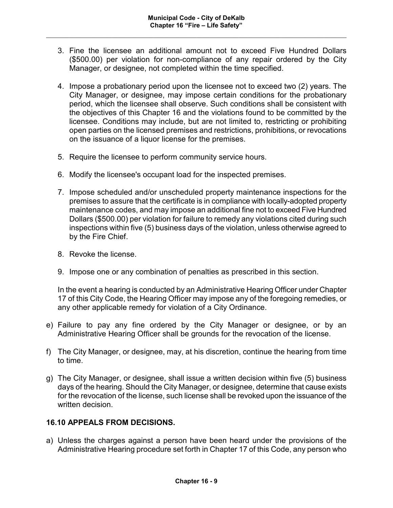- 3. Fine the licensee an additional amount not to exceed Five Hundred Dollars (\$500.00) per violation for non-compliance of any repair ordered by the City Manager, or designee, not completed within the time specified.
- 4. Impose a probationary period upon the licensee not to exceed two (2) years. The City Manager, or designee, may impose certain conditions for the probationary period, which the licensee shall observe. Such conditions shall be consistent with the objectives of this Chapter 16 and the violations found to be committed by the licensee. Conditions may include, but are not limited to, restricting or prohibiting open parties on the licensed premises and restrictions, prohibitions, or revocations on the issuance of a liquor license for the premises.
- 5. Require the licensee to perform community service hours.
- 6. Modify the licensee's occupant load for the inspected premises.
- 7. Impose scheduled and/or unscheduled property maintenance inspections for the premises to assure that the certificate is in compliance with locally-adopted property maintenance codes, and may impose an additional fine not to exceed Five Hundred Dollars (\$500.00) per violation for failure to remedy any violations cited during such inspections within five (5) business days of the violation, unless otherwise agreed to by the Fire Chief.
- 8. Revoke the license.
- 9. Impose one or any combination of penalties as prescribed in this section.

In the event a hearing is conducted by an Administrative Hearing Officer under Chapter 17 of this City Code, the Hearing Officer may impose any of the foregoing remedies, or any other applicable remedy for violation of a City Ordinance.

- e) Failure to pay any fine ordered by the City Manager or designee, or by an Administrative Hearing Officer shall be grounds for the revocation of the license.
- f) The City Manager, or designee, may, at his discretion, continue the hearing from time to time.
- g) The City Manager, or designee, shall issue a written decision within five (5) business days of the hearing. Should the City Manager, or designee, determine that cause exists for the revocation of the license, such license shall be revoked upon the issuance of the written decision.

### **16.10 APPEALS FROM DECISIONS.**

a) Unless the charges against a person have been heard under the provisions of the Administrative Hearing procedure set forth in Chapter 17 of this Code, any person who